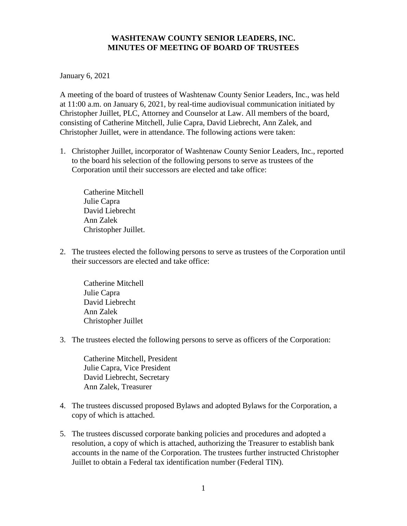## **WASHTENAW COUNTY SENIOR LEADERS, INC. MINUTES OF MEETING OF BOARD OF TRUSTEES**

January 6, 2021

A meeting of the board of trustees of Washtenaw County Senior Leaders, Inc., was held at 11:00 a.m. on January 6, 2021, by real-time audiovisual communication initiated by Christopher Juillet, PLC, Attorney and Counselor at Law. All members of the board, consisting of Catherine Mitchell, Julie Capra, David Liebrecht, Ann Zalek, and Christopher Juillet, were in attendance. The following actions were taken:

1. Christopher Juillet, incorporator of Washtenaw County Senior Leaders, Inc., reported to the board his selection of the following persons to serve as trustees of the Corporation until their successors are elected and take office:

Catherine Mitchell Julie Capra David Liebrecht Ann Zalek Christopher Juillet.

2. The trustees elected the following persons to serve as trustees of the Corporation until their successors are elected and take office:

Catherine Mitchell Julie Capra David Liebrecht Ann Zalek Christopher Juillet

3. The trustees elected the following persons to serve as officers of the Corporation:

Catherine Mitchell, President Julie Capra, Vice President David Liebrecht, Secretary Ann Zalek, Treasurer

- 4. The trustees discussed proposed Bylaws and adopted Bylaws for the Corporation, a copy of which is attached.
- 5. The trustees discussed corporate banking policies and procedures and adopted a resolution, a copy of which is attached, authorizing the Treasurer to establish bank accounts in the name of the Corporation. The trustees further instructed Christopher Juillet to obtain a Federal tax identification number (Federal TIN).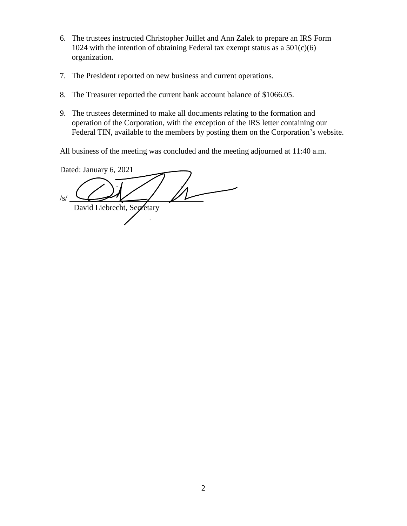- 6. The trustees instructed Christopher Juillet and Ann Zalek to prepare an IRS Form 1024 with the intention of obtaining Federal tax exempt status as a  $501(c)(6)$ organization.
- 7. The President reported on new business and current operations.
- 8. The Treasurer reported the current bank account balance of \$1066.05.
- 9. The trustees determined to make all documents relating to the formation and operation of the Corporation, with the exception of the IRS letter containing our Federal TIN, available to the members by posting them on the Corporation's website.

All business of the meeting was concluded and the meeting adjourned at 11:40 a.m.

Dated: January 6, 2021 /s/ David Liebrecht, Secretary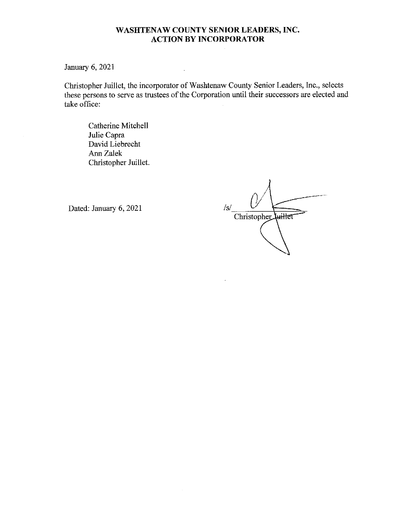## WASHTENAW COUNTY SENIOR LEADERS, INC. **ACTION BY INCORPORATOR**

January 6, 2021

Christopher Juillet, the incorporator of Washtenaw County Senior Leaders, Inc., selects these persons to serve as trustees of the Corporation until their successors are elected and take office:

Catherine Mitchell Julie Capra David Liebrecht Ann Zalek Christopher Juillet.

Dated: January 6, 2021

 $/s/$ Christopher Luillet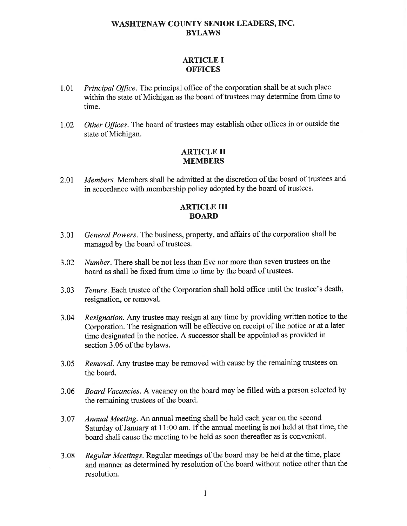## **WASHTENAW COUNTY SENIOR LEADERS, INC. BYLAWS**

## **ARTICLE I OFFICES**

- Principal Office. The principal office of the corporation shall be at such place 1.01 within the state of Michigan as the board of trustees may determine from time to time.
- Other Offices. The board of trustees may establish other offices in or outside the 1.02 state of Michigan.

#### **ARTICLE II MEMBERS**

Members. Members shall be admitted at the discretion of the board of trustees and 2.01 in accordance with membership policy adopted by the board of trustees.

## **ARTICLE III BOARD**

- General Powers. The business, property, and affairs of the corporation shall be 3.01 managed by the board of trustees.
- Number. There shall be not less than five nor more than seven trustees on the 3.02 board as shall be fixed from time to time by the board of trustees.
- Tenure. Each trustee of the Corporation shall hold office until the trustee's death,  $3.03$ resignation, or removal.
- Resignation. Any trustee may resign at any time by providing written notice to the 3.04 Corporation. The resignation will be effective on receipt of the notice or at a later time designated in the notice. A successor shall be appointed as provided in section 3.06 of the bylaws.
- Removal. Any trustee may be removed with cause by the remaining trustees on  $3.05$ the board.
- Board Vacancies. A vacancy on the board may be filled with a person selected by  $3.06$ the remaining trustees of the board.
- Annual Meeting. An annual meeting shall be held each year on the second 3.07 Saturday of January at 11:00 am. If the annual meeting is not held at that time, the board shall cause the meeting to be held as soon thereafter as is convenient.
- Regular Meetings. Regular meetings of the board may be held at the time, place 3.08 and manner as determined by resolution of the board without notice other than the resolution.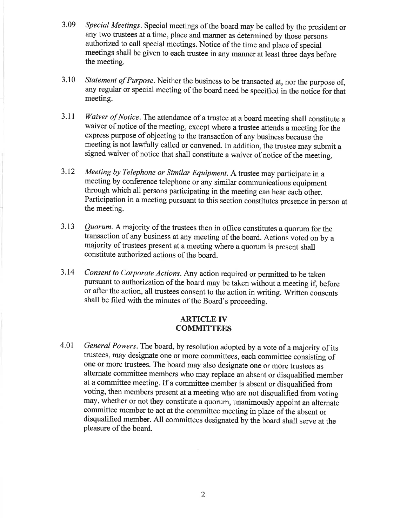- Special Meetings. Special meetings of the board may be called by the president or 3.09 any two trustees at a time, place and manner as determined by those persons authorized to call special meetings. Notice of the time and place of special meetings shall be given to each trustee in any manner at least three days before the meeting.
- Statement of Purpose. Neither the business to be transacted at, nor the purpose of, 3.10 any regular or special meeting of the board need be specified in the notice for that meeting.
- Waiver of Notice. The attendance of a trustee at a board meeting shall constitute a 3.11 waiver of notice of the meeting, except where a trustee attends a meeting for the express purpose of objecting to the transaction of any business because the meeting is not lawfully called or convened. In addition, the trustee may submit a signed waiver of notice that shall constitute a waiver of notice of the meeting.
- 3.12 Meeting by Telephone or Similar Equipment. A trustee may participate in a meeting by conference telephone or any similar communications equipment through which all persons participating in the meeting can hear each other. Participation in a meeting pursuant to this section constitutes presence in person at the meeting.
- Quorum. A majority of the trustees then in office constitutes a quorum for the  $3.13$ transaction of any business at any meeting of the board. Actions voted on by a majority of trustees present at a meeting where a quorum is present shall constitute authorized actions of the board.
- 3.14 Consent to Corporate Actions. Any action required or permitted to be taken pursuant to authorization of the board may be taken without a meeting if, before or after the action, all trustees consent to the action in writing. Written consents shall be filed with the minutes of the Board's proceeding.

### **ARTICLE IV COMMITTEES**

General Powers. The board, by resolution adopted by a vote of a majority of its 4.01 trustees, may designate one or more committees, each committee consisting of one or more trustees. The board may also designate one or more trustees as alternate committee members who may replace an absent or disqualified member at a committee meeting. If a committee member is absent or disqualified from voting, then members present at a meeting who are not disqualified from voting may, whether or not they constitute a quorum, unanimously appoint an alternate committee member to act at the committee meeting in place of the absent or disqualified member. All committees designated by the board shall serve at the pleasure of the board.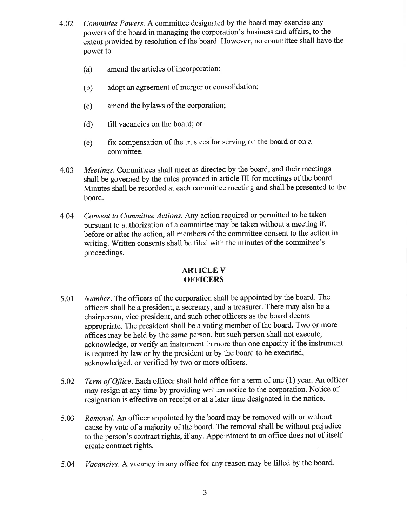- Committee Powers. A committee designated by the board may exercise any 4.02 powers of the board in managing the corporation's business and affairs, to the extent provided by resolution of the board. However, no committee shall have the power to
	- amend the articles of incorporation:  $(a)$
	- $(b)$ adopt an agreement of merger or consolidation;
	- amend the bylaws of the corporation;  $(c)$
	- $(d)$ fill vacancies on the board; or
	- fix compensation of the trustees for serving on the board or on a  $(e)$ committee.
- Meetings. Committees shall meet as directed by the board, and their meetings 4.03 shall be governed by the rules provided in article III for meetings of the board. Minutes shall be recorded at each committee meeting and shall be presented to the board.
- Consent to Committee Actions. Any action required or permitted to be taken 4.04 pursuant to authorization of a committee may be taken without a meeting if, before or after the action, all members of the committee consent to the action in writing. Written consents shall be filed with the minutes of the committee's proceedings.

## **ARTICLE V OFFICERS**

- Number. The officers of the corporation shall be appointed by the board. The 5.01 officers shall be a president, a secretary, and a treasurer. There may also be a chairperson, vice president, and such other officers as the board deems appropriate. The president shall be a voting member of the board. Two or more offices may be held by the same person, but such person shall not execute, acknowledge, or verify an instrument in more than one capacity if the instrument is required by law or by the president or by the board to be executed, acknowledged, or verified by two or more officers.
- Term of Office. Each officer shall hold office for a term of one (1) year. An officer 5.02 may resign at any time by providing written notice to the corporation. Notice of resignation is effective on receipt or at a later time designated in the notice.
- Removal. An officer appointed by the board may be removed with or without 5.03 cause by vote of a majority of the board. The removal shall be without prejudice to the person's contract rights, if any. Appointment to an office does not of itself create contract rights.
- Vacancies. A vacancy in any office for any reason may be filled by the board. 5.04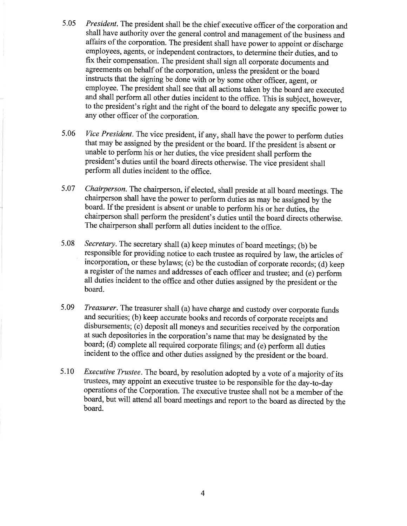- President. The president shall be the chief executive officer of the corporation and 5.05 shall have authority over the general control and management of the business and affairs of the corporation. The president shall have power to appoint or discharge employees, agents, or independent contractors, to determine their duties, and to fix their compensation. The president shall sign all corporate documents and agreements on behalf of the corporation, unless the president or the board instructs that the signing be done with or by some other officer, agent, or employee. The president shall see that all actions taken by the board are executed and shall perform all other duties incident to the office. This is subject, however, to the president's right and the right of the board to delegate any specific power to any other officer of the corporation.
- Vice President. The vice president, if any, shall have the power to perform duties 5.06 that may be assigned by the president or the board. If the president is absent or unable to perform his or her duties, the vice president shall perform the president's duties until the board directs otherwise. The vice president shall perform all duties incident to the office.
- Chairperson. The chairperson, if elected, shall preside at all board meetings. The 5.07 chairperson shall have the power to perform duties as may be assigned by the board. If the president is absent or unable to perform his or her duties, the chairperson shall perform the president's duties until the board directs otherwise. The chairperson shall perform all duties incident to the office.
- 5.08 Secretary. The secretary shall (a) keep minutes of board meetings; (b) be responsible for providing notice to each trustee as required by law, the articles of incorporation, or these bylaws; (c) be the custodian of corporate records; (d) keep a register of the names and addresses of each officer and trustee; and (e) perform all duties incident to the office and other duties assigned by the president or the board.
- Treasurer. The treasurer shall (a) have charge and custody over corporate funds 5.09 and securities; (b) keep accurate books and records of corporate receipts and disbursements; (c) deposit all moneys and securities received by the corporation at such depositories in the corporation's name that may be designated by the board; (d) complete all required corporate filings; and (e) perform all duties incident to the office and other duties assigned by the president or the board.
- 5.10 *Executive Trustee.* The board, by resolution adopted by a vote of a majority of its trustees, may appoint an executive trustee to be responsible for the day-to-day operations of the Corporation. The executive trustee shall not be a member of the board, but will attend all board meetings and report to the board as directed by the board.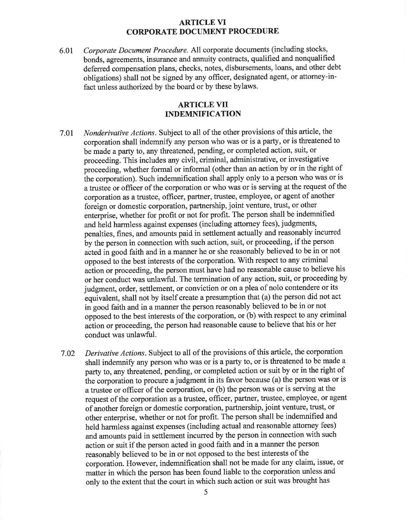#### **ARTICLE VI CORPORATE DOCUMENT PROCEDURE**

Corporate Document Procedure. All corporate documents (including stocks, 6.01 bonds, agreements, insurance and annuity contracts, qualified and nonqualified deferred compensation plans, checks, notes, disbursements, loans, and other debt obligations) shall not be signed by any officer, designated agent, or attorney-infact unless authorized by the board or by these bylaws.

### **ARTICLE VII INDEMNIFICATION**

- Nonderivative Actions. Subject to all of the other provisions of this article, the 7.01 corporation shall indemnify any person who was or is a party, or is threatened to be made a party to, any threatened, pending, or completed action, suit, or proceeding. This includes any civil, criminal, administrative, or investigative proceeding, whether formal or informal (other than an action by or in the right of the corporation). Such indemnification shall apply only to a person who was or is a trustee or officer of the corporation or who was or is serving at the request of the corporation as a trustee, officer, partner, trustee, employee, or agent of another foreign or domestic corporation, partnership, joint venture, trust, or other enterprise, whether for profit or not for profit. The person shall be indemnified and held harmless against expenses (including attorney fees), judgments, penalties, fines, and amounts paid in settlement actually and reasonably incurred by the person in connection with such action, suit, or proceeding, if the person acted in good faith and in a manner he or she reasonably believed to be in or not opposed to the best interests of the corporation. With respect to any criminal action or proceeding, the person must have had no reasonable cause to believe his or her conduct was unlawful. The termination of any action, suit, or proceeding by judgment, order, settlement, or conviction or on a plea of nolo contendere or its equivalent, shall not by itself create a presumption that (a) the person did not act in good faith and in a manner the person reasonably believed to be in or not opposed to the best interests of the corporation, or (b) with respect to any criminal action or proceeding, the person had reasonable cause to believe that his or her conduct was unlawful.
- Derivative Actions. Subject to all of the provisions of this article, the corporation 7.02 shall indemnify any person who was or is a party to, or is threatened to be made a party to, any threatened, pending, or completed action or suit by or in the right of the corporation to procure a judgment in its favor because (a) the person was or is a trustee or officer of the corporation, or (b) the person was or is serving at the request of the corporation as a trustee, officer, partner, trustee, employee, or agent of another foreign or domestic corporation, partnership, joint venture, trust, or other enterprise, whether or not for profit. The person shall be indemnified and held harmless against expenses (including actual and reasonable attorney fees) and amounts paid in settlement incurred by the person in connection with such action or suit if the person acted in good faith and in a manner the person reasonably believed to be in or not opposed to the best interests of the corporation. However, indemnification shall not be made for any claim, issue, or matter in which the person has been found liable to the corporation unless and only to the extent that the court in which such action or suit was brought has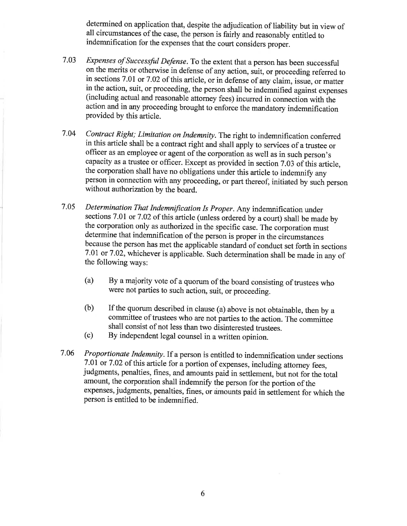determined on application that, despite the adjudication of liability but in view of all circumstances of the case, the person is fairly and reasonably entitled to indemnification for the expenses that the court considers proper.

- Expenses of Successful Defense. To the extent that a person has been successful 7.03 on the merits or otherwise in defense of any action, suit, or proceeding referred to in sections 7.01 or 7.02 of this article, or in defense of any claim, issue, or matter in the action, suit, or proceeding, the person shall be indemnified against expenses (including actual and reasonable attorney fees) incurred in connection with the action and in any proceeding brought to enforce the mandatory indemnification provided by this article.
- 7.04 Contract Right; Limitation on Indemnity. The right to indemnification conferred in this article shall be a contract right and shall apply to services of a trustee or officer as an employee or agent of the corporation as well as in such person's capacity as a trustee or officer. Except as provided in section 7.03 of this article, the corporation shall have no obligations under this article to indemnify any person in connection with any proceeding, or part thereof, initiated by such person without authorization by the board.
- 7.05 Determination That Indemnification Is Proper. Any indemnification under sections 7.01 or 7.02 of this article (unless ordered by a court) shall be made by the corporation only as authorized in the specific case. The corporation must determine that indemnification of the person is proper in the circumstances because the person has met the applicable standard of conduct set forth in sections 7.01 or 7.02, whichever is applicable. Such determination shall be made in any of the following ways:
	- By a majority vote of a quorum of the board consisting of trustees who  $(a)$ were not parties to such action, suit, or proceeding.
	- If the quorum described in clause (a) above is not obtainable, then by a  $(b)$ committee of trustees who are not parties to the action. The committee shall consist of not less than two disinterested trustees.
	- By independent legal counsel in a written opinion.  $(c)$
- 7.06 Proportionate Indemnity. If a person is entitled to indemnification under sections 7.01 or 7.02 of this article for a portion of expenses, including attorney fees, judgments, penalties, fines, and amounts paid in settlement, but not for the total amount, the corporation shall indemnify the person for the portion of the expenses, judgments, penalties, fines, or amounts paid in settlement for which the person is entitled to be indemnified.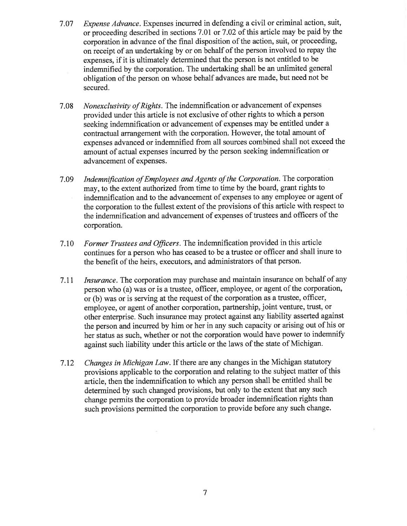- Expense Advance. Expenses incurred in defending a civil or criminal action, suit, 7.07 or proceeding described in sections 7.01 or 7.02 of this article may be paid by the corporation in advance of the final disposition of the action, suit, or proceeding, on receipt of an undertaking by or on behalf of the person involved to repay the expenses, if it is ultimately determined that the person is not entitled to be indemnified by the corporation. The undertaking shall be an unlimited general obligation of the person on whose behalf advances are made, but need not be secured.
- Nonexclusivity of Rights. The indemnification or advancement of expenses 7.08 provided under this article is not exclusive of other rights to which a person seeking indemnification or advancement of expenses may be entitled under a contractual arrangement with the corporation. However, the total amount of expenses advanced or indemnified from all sources combined shall not exceed the amount of actual expenses incurred by the person seeking indemnification or advancement of expenses.
- Indemnification of Employees and Agents of the Corporation. The corporation 7.09 may, to the extent authorized from time to time by the board, grant rights to indemnification and to the advancement of expenses to any employee or agent of the corporation to the fullest extent of the provisions of this article with respect to the indemnification and advancement of expenses of trustees and officers of the corporation.
- Former Trustees and Officers. The indemnification provided in this article 7.10 continues for a person who has ceased to be a trustee or officer and shall inure to the benefit of the heirs, executors, and administrators of that person.
- *Insurance*. The corporation may purchase and maintain insurance on behalf of any 7.11 person who (a) was or is a trustee, officer, employee, or agent of the corporation, or (b) was or is serving at the request of the corporation as a trustee, officer, employee, or agent of another corporation, partnership, joint venture, trust, or other enterprise. Such insurance may protect against any liability asserted against the person and incurred by him or her in any such capacity or arising out of his or her status as such, whether or not the corporation would have power to indemnify against such liability under this article or the laws of the state of Michigan.
- Changes in Michigan Law. If there are any changes in the Michigan statutory 7.12 provisions applicable to the corporation and relating to the subject matter of this article, then the indemnification to which any person shall be entitled shall be determined by such changed provisions, but only to the extent that any such change permits the corporation to provide broader indemnification rights than such provisions permitted the corporation to provide before any such change.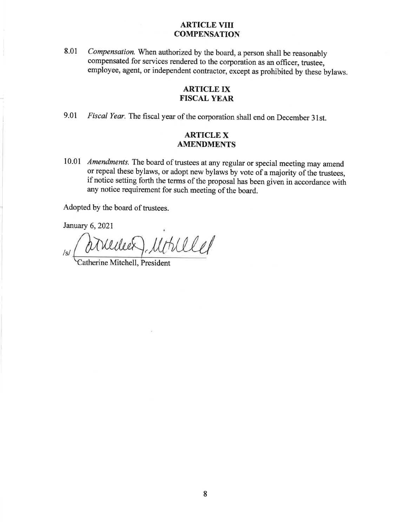#### **ARTICLE VIII COMPENSATION**

Compensation. When authorized by the board, a person shall be reasonably 8.01 compensated for services rendered to the corporation as an officer, trustee, employee, agent, or independent contractor, except as prohibited by these bylaws.

## **ARTICLE IX FISCAL YEAR**

9.01 Fiscal Year. The fiscal year of the corporation shall end on December 31st.

### **ARTICLE X AMENDMENTS**

10.01 Amendments. The board of trustees at any regular or special meeting may amend or repeal these bylaws, or adopt new bylaws by vote of a majority of the trustees, if notice setting forth the terms of the proposal has been given in accordance with any notice requirement for such meeting of the board.

Adopted by the board of trustees.

January 6, 2021

relet  $/s/$ 

Catherine Mitchell, President